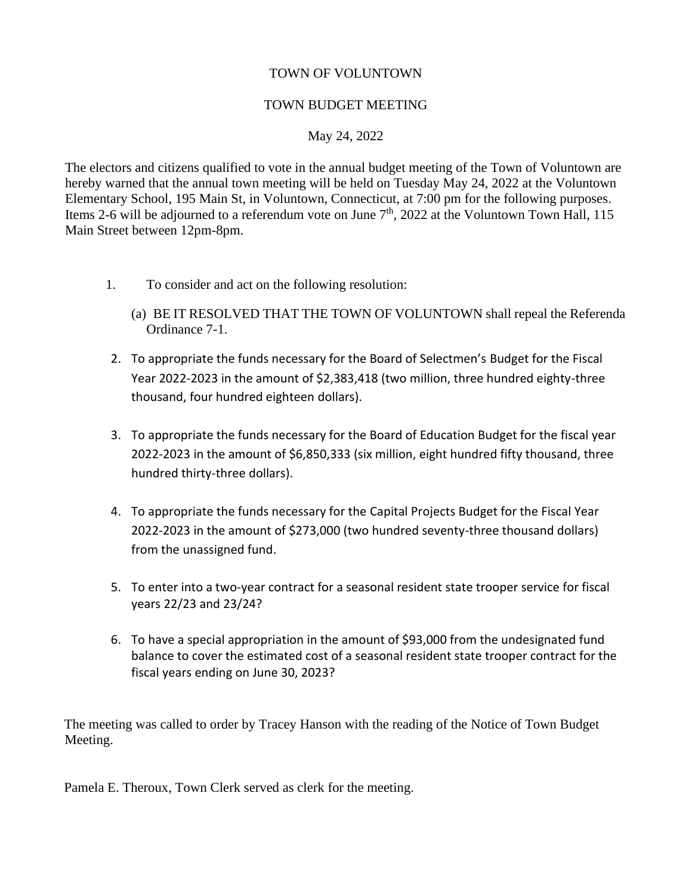## TOWN OF VOLUNTOWN

## TOWN BUDGET MEETING

## May 24, 2022

The electors and citizens qualified to vote in the annual budget meeting of the Town of Voluntown are hereby warned that the annual town meeting will be held on Tuesday May 24, 2022 at the Voluntown Elementary School, 195 Main St, in Voluntown, Connecticut, at 7:00 pm for the following purposes. Items 2-6 will be adjourned to a referendum vote on June  $7<sup>th</sup>$ , 2022 at the Voluntown Town Hall, 115 Main Street between 12pm-8pm.

- 1. To consider and act on the following resolution:
	- (a) BE IT RESOLVED THAT THE TOWN OF VOLUNTOWN shall repeal the Referenda Ordinance 7-1.
- 2. To appropriate the funds necessary for the Board of Selectmen's Budget for the Fiscal Year 2022-2023 in the amount of \$2,383,418 (two million, three hundred eighty-three thousand, four hundred eighteen dollars).
- 3. To appropriate the funds necessary for the Board of Education Budget for the fiscal year 2022-2023 in the amount of \$6,850,333 (six million, eight hundred fifty thousand, three hundred thirty-three dollars).
- 4. To appropriate the funds necessary for the Capital Projects Budget for the Fiscal Year 2022-2023 in the amount of \$273,000 (two hundred seventy-three thousand dollars) from the unassigned fund.
- 5. To enter into a two-year contract for a seasonal resident state trooper service for fiscal years 22/23 and 23/24?
- 6. To have a special appropriation in the amount of \$93,000 from the undesignated fund balance to cover the estimated cost of a seasonal resident state trooper contract for the fiscal years ending on June 30, 2023?

The meeting was called to order by Tracey Hanson with the reading of the Notice of Town Budget Meeting.

Pamela E. Theroux, Town Clerk served as clerk for the meeting.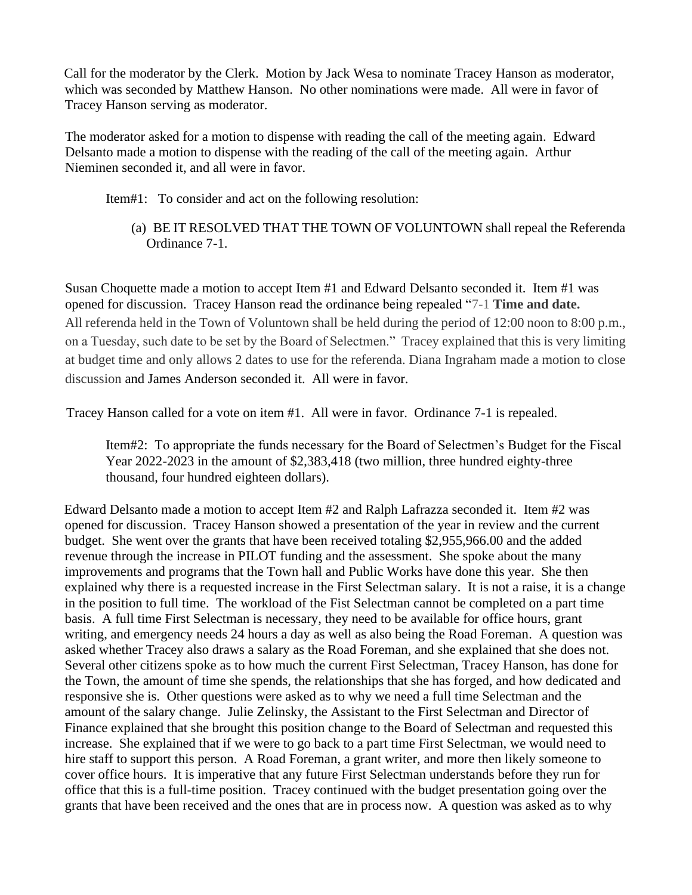Call for the moderator by the Clerk. Motion by Jack Wesa to nominate Tracey Hanson as moderator, which was seconded by Matthew Hanson. No other nominations were made. All were in favor of Tracey Hanson serving as moderator.

The moderator asked for a motion to dispense with reading the call of the meeting again. Edward Delsanto made a motion to dispense with the reading of the call of the meeting again. Arthur Nieminen seconded it, and all were in favor.

Item#1: To consider and act on the following resolution:

(a) BE IT RESOLVED THAT THE TOWN OF VOLUNTOWN shall repeal the Referenda Ordinance 7-1.

Susan Choquette made a motion to accept Item #1 and Edward Delsanto seconded it. Item #1 was opened for discussion. Tracey Hanson read the ordinance being repealed "7-1 **[Time and date.](https://ecode360.com/35980514#35980514)** All referenda held in the Town of Voluntown shall be held during the period of 12:00 noon to 8:00 p.m., on a Tuesday, such date to be set by the Board of Selectmen." Tracey explained that this is very limiting at budget time and only allows 2 dates to use for the referenda. Diana Ingraham made a motion to close discussion and James Anderson seconded it. All were in favor.

Tracey Hanson called for a vote on item #1. All were in favor. Ordinance 7-1 is repealed.

Item#2: To appropriate the funds necessary for the Board of Selectmen's Budget for the Fiscal Year 2022-2023 in the amount of \$2,383,418 (two million, three hundred eighty-three thousand, four hundred eighteen dollars).

Edward Delsanto made a motion to accept Item #2 and Ralph Lafrazza seconded it. Item #2 was opened for discussion. Tracey Hanson showed a presentation of the year in review and the current budget. She went over the grants that have been received totaling \$2,955,966.00 and the added revenue through the increase in PILOT funding and the assessment. She spoke about the many improvements and programs that the Town hall and Public Works have done this year. She then explained why there is a requested increase in the First Selectman salary. It is not a raise, it is a change in the position to full time. The workload of the Fist Selectman cannot be completed on a part time basis. A full time First Selectman is necessary, they need to be available for office hours, grant writing, and emergency needs 24 hours a day as well as also being the Road Foreman. A question was asked whether Tracey also draws a salary as the Road Foreman, and she explained that she does not. Several other citizens spoke as to how much the current First Selectman, Tracey Hanson, has done for the Town, the amount of time she spends, the relationships that she has forged, and how dedicated and responsive she is. Other questions were asked as to why we need a full time Selectman and the amount of the salary change. Julie Zelinsky, the Assistant to the First Selectman and Director of Finance explained that she brought this position change to the Board of Selectman and requested this increase. She explained that if we were to go back to a part time First Selectman, we would need to hire staff to support this person. A Road Foreman, a grant writer, and more then likely someone to cover office hours. It is imperative that any future First Selectman understands before they run for office that this is a full-time position. Tracey continued with the budget presentation going over the grants that have been received and the ones that are in process now. A question was asked as to why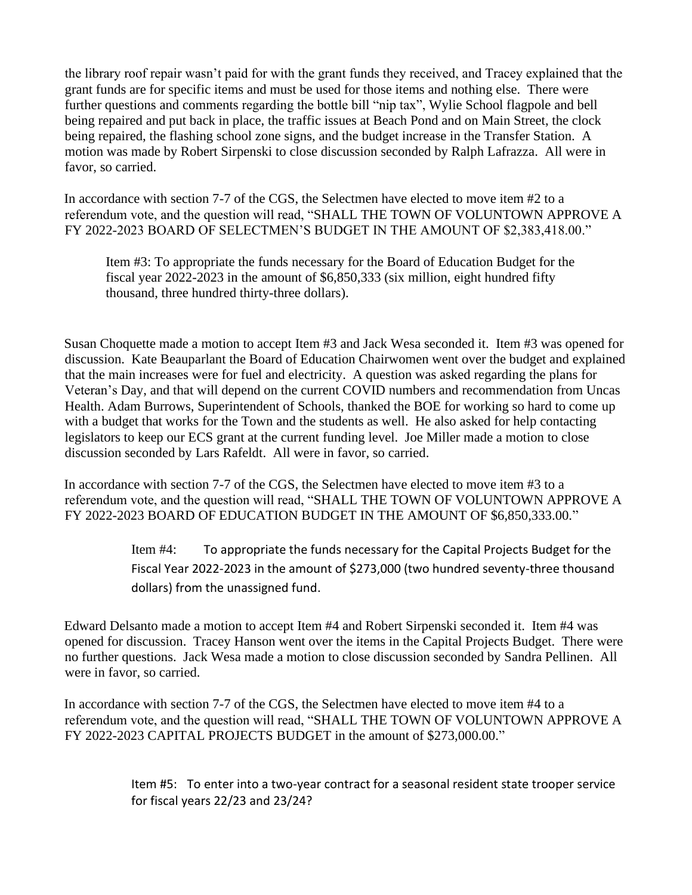the library roof repair wasn't paid for with the grant funds they received, and Tracey explained that the grant funds are for specific items and must be used for those items and nothing else. There were further questions and comments regarding the bottle bill "nip tax", Wylie School flagpole and bell being repaired and put back in place, the traffic issues at Beach Pond and on Main Street, the clock being repaired, the flashing school zone signs, and the budget increase in the Transfer Station. A motion was made by Robert Sirpenski to close discussion seconded by Ralph Lafrazza. All were in favor, so carried.

In accordance with section 7-7 of the CGS, the Selectmen have elected to move item #2 to a referendum vote, and the question will read, "SHALL THE TOWN OF VOLUNTOWN APPROVE A FY 2022-2023 BOARD OF SELECTMEN'S BUDGET IN THE AMOUNT OF \$2,383,418.00."

Item #3: To appropriate the funds necessary for the Board of Education Budget for the fiscal year 2022-2023 in the amount of \$6,850,333 (six million, eight hundred fifty thousand, three hundred thirty-three dollars).

Susan Choquette made a motion to accept Item #3 and Jack Wesa seconded it. Item #3 was opened for discussion. Kate Beauparlant the Board of Education Chairwomen went over the budget and explained that the main increases were for fuel and electricity. A question was asked regarding the plans for Veteran's Day, and that will depend on the current COVID numbers and recommendation from Uncas Health. Adam Burrows, Superintendent of Schools, thanked the BOE for working so hard to come up with a budget that works for the Town and the students as well. He also asked for help contacting legislators to keep our ECS grant at the current funding level. Joe Miller made a motion to close discussion seconded by Lars Rafeldt. All were in favor, so carried.

In accordance with section 7-7 of the CGS, the Selectmen have elected to move item #3 to a referendum vote, and the question will read, "SHALL THE TOWN OF VOLUNTOWN APPROVE A FY 2022-2023 BOARD OF EDUCATION BUDGET IN THE AMOUNT OF \$6,850,333.00."

> Item #4: To appropriate the funds necessary for the Capital Projects Budget for the Fiscal Year 2022-2023 in the amount of \$273,000 (two hundred seventy-three thousand dollars) from the unassigned fund.

Edward Delsanto made a motion to accept Item #4 and Robert Sirpenski seconded it. Item #4 was opened for discussion. Tracey Hanson went over the items in the Capital Projects Budget. There were no further questions. Jack Wesa made a motion to close discussion seconded by Sandra Pellinen. All were in favor, so carried.

In accordance with section 7-7 of the CGS, the Selectmen have elected to move item #4 to a referendum vote, and the question will read, "SHALL THE TOWN OF VOLUNTOWN APPROVE A FY 2022-2023 CAPITAL PROJECTS BUDGET in the amount of \$273,000.00."

> Item #5: To enter into a two-year contract for a seasonal resident state trooper service for fiscal years 22/23 and 23/24?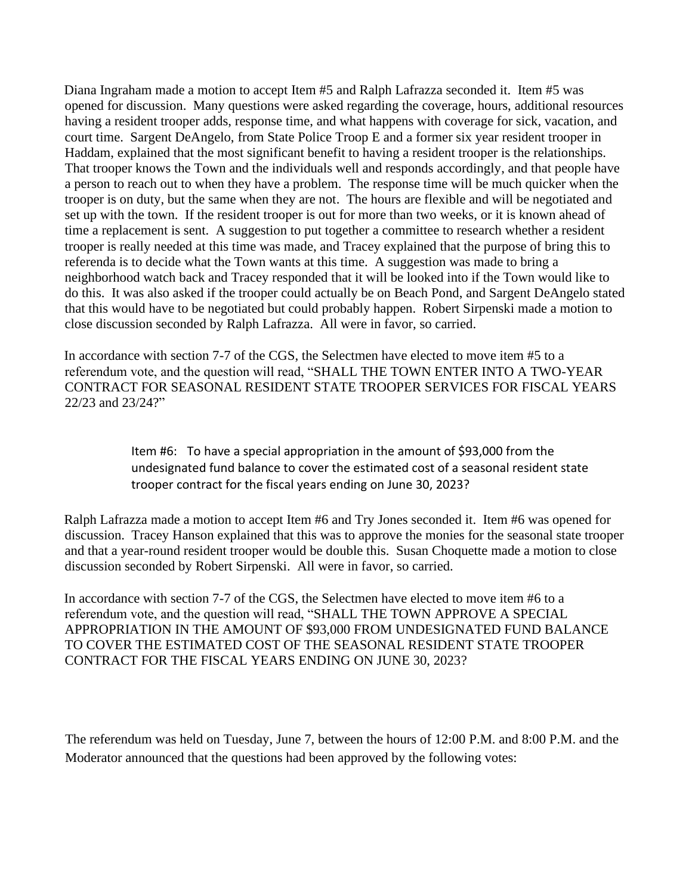Diana Ingraham made a motion to accept Item #5 and Ralph Lafrazza seconded it. Item #5 was opened for discussion. Many questions were asked regarding the coverage, hours, additional resources having a resident trooper adds, response time, and what happens with coverage for sick, vacation, and court time. Sargent DeAngelo, from State Police Troop E and a former six year resident trooper in Haddam, explained that the most significant benefit to having a resident trooper is the relationships. That trooper knows the Town and the individuals well and responds accordingly, and that people have a person to reach out to when they have a problem. The response time will be much quicker when the trooper is on duty, but the same when they are not. The hours are flexible and will be negotiated and set up with the town. If the resident trooper is out for more than two weeks, or it is known ahead of time a replacement is sent. A suggestion to put together a committee to research whether a resident trooper is really needed at this time was made, and Tracey explained that the purpose of bring this to referenda is to decide what the Town wants at this time. A suggestion was made to bring a neighborhood watch back and Tracey responded that it will be looked into if the Town would like to do this. It was also asked if the trooper could actually be on Beach Pond, and Sargent DeAngelo stated that this would have to be negotiated but could probably happen. Robert Sirpenski made a motion to close discussion seconded by Ralph Lafrazza. All were in favor, so carried.

In accordance with section 7-7 of the CGS, the Selectmen have elected to move item #5 to a referendum vote, and the question will read, "SHALL THE TOWN ENTER INTO A TWO-YEAR CONTRACT FOR SEASONAL RESIDENT STATE TROOPER SERVICES FOR FISCAL YEARS 22/23 and 23/24?"

> Item #6: To have a special appropriation in the amount of \$93,000 from the undesignated fund balance to cover the estimated cost of a seasonal resident state trooper contract for the fiscal years ending on June 30, 2023?

Ralph Lafrazza made a motion to accept Item #6 and Try Jones seconded it. Item #6 was opened for discussion. Tracey Hanson explained that this was to approve the monies for the seasonal state trooper and that a year-round resident trooper would be double this. Susan Choquette made a motion to close discussion seconded by Robert Sirpenski. All were in favor, so carried.

In accordance with section 7-7 of the CGS, the Selectmen have elected to move item #6 to a referendum vote, and the question will read, "SHALL THE TOWN APPROVE A SPECIAL APPROPRIATION IN THE AMOUNT OF \$93,000 FROM UNDESIGNATED FUND BALANCE TO COVER THE ESTIMATED COST OF THE SEASONAL RESIDENT STATE TROOPER CONTRACT FOR THE FISCAL YEARS ENDING ON JUNE 30, 2023?

The referendum was held on Tuesday, June 7, between the hours of 12:00 P.M. and 8:00 P.M. and the Moderator announced that the questions had been approved by the following votes: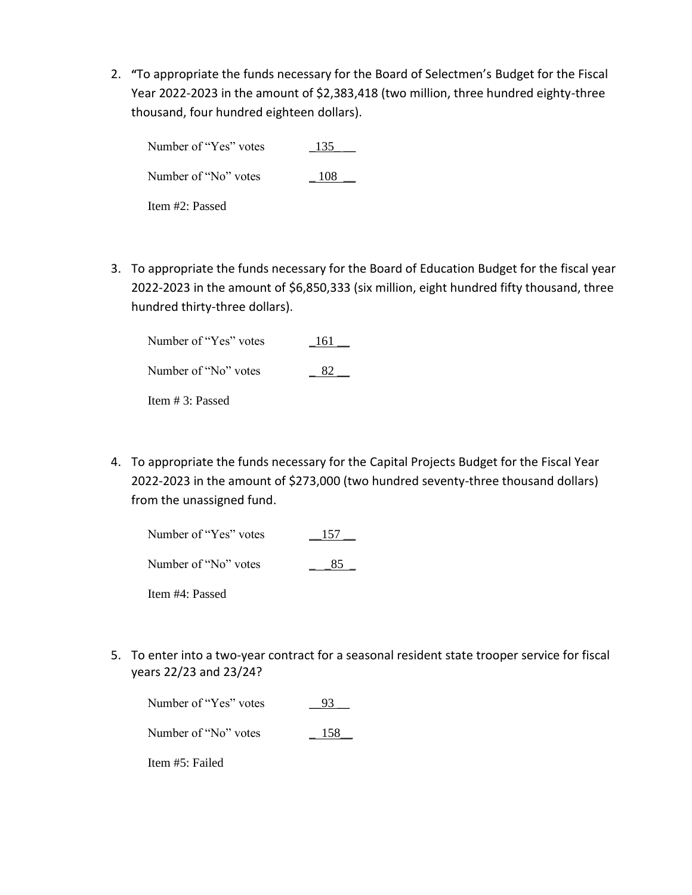2. **"**To appropriate the funds necessary for the Board of Selectmen's Budget for the Fiscal Year 2022-2023 in the amount of \$2,383,418 (two million, three hundred eighty-three thousand, four hundred eighteen dollars).

Number of "Yes" votes \_135\_ \_\_ Number of "No" votes  $108$ Item #2: Passed

3. To appropriate the funds necessary for the Board of Education Budget for the fiscal year 2022-2023 in the amount of \$6,850,333 (six million, eight hundred fifty thousand, three hundred thirty-three dollars).

| Number of "Yes" votes | 161 |
|-----------------------|-----|
| Number of "No" votes  | X') |
| Item $# 3$ : Passed   |     |

4. To appropriate the funds necessary for the Capital Projects Budget for the Fiscal Year 2022-2023 in the amount of \$273,000 (two hundred seventy-three thousand dollars) from the unassigned fund.

| Number of "Yes" votes | -157 |
|-----------------------|------|
| Number of "No" votes  | 85   |

Item #4: Passed

5. To enter into a two-year contract for a seasonal resident state trooper service for fiscal years 22/23 and 23/24?

| Number of "Yes" votes | 93  |
|-----------------------|-----|
| Number of "No" votes  | 158 |

Item #5: Failed